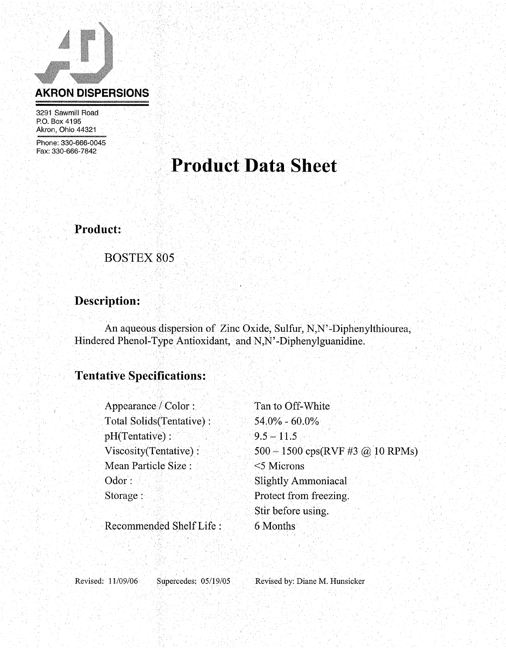

3291 Sawmill Road P.O. Box 4195 Akron, Ohio 44321

Phone: 330-666-0045 Fax: 330-666-7842

# **Product Data Sheet**

**Product:** 

**BOSTEX 805** 

### Description:

An aqueous dispersion of Zinc Oxide, Sulfur, N,N'-Diphenylthiourea, Hindered Phenol-Type Antioxidant, and N,N'-Diphenylguanidine.

## **Tentative Specifications:**

| Appearance / Color:        | Tan to Off-White                   |
|----------------------------|------------------------------------|
| Total Solids (Tentative) : | $54.0\% - 60.0\%$                  |
| $pH(Tentative)$ :          | $9.5 - 11.5$                       |
| Viscosity(Tentative):      | $500 - 1500$ cps(RVF #3 @ 10 RPMs) |
| Mean Particle Size :       | $<$ 5 Microns                      |
| Odor:                      | <b>Slightly Ammoniacal</b>         |
| Storage:                   | Protect from freezing.             |
|                            | Stir before using.                 |
| Recommended Shelf Life:    | 6 Months                           |

Revised: 11/09/06

Supercedes: 05/19/05

Revised by: Diane M. Hunsicker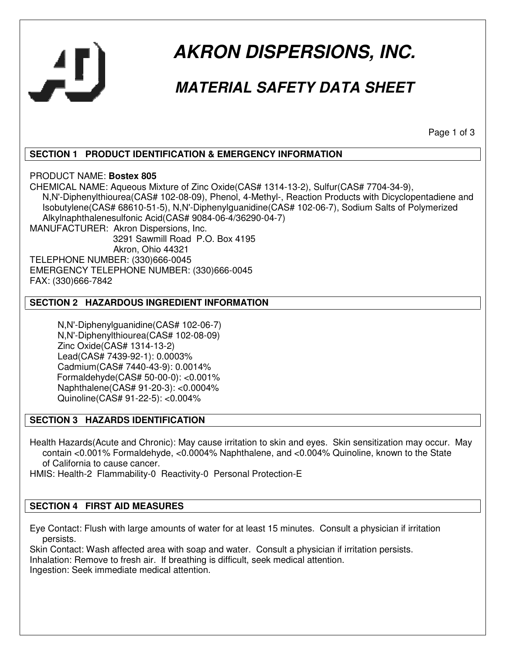

# **AKRON DISPERSIONS, INC.**

## **MATERIAL SAFETY DATA SHEET**

Page 1 of 3

#### **SECTION 1 PRODUCT IDENTIFICATION & EMERGENCY INFORMATION**

PRODUCT NAME: **Bostex 805**

CHEMICAL NAME: Aqueous Mixture of Zinc Oxide(CAS# 1314-13-2), Sulfur(CAS# 7704-34-9), N,N'-Diphenylthiourea(CAS# 102-08-09), Phenol, 4-Methyl-, Reaction Products with Dicyclopentadiene and Isobutylene(CAS# 68610-51-5), N,N'-Diphenylguanidine(CAS# 102-06-7), Sodium Salts of Polymerized Alkylnaphthalenesulfonic Acid(CAS# 9084-06-4/36290-04-7) MANUFACTURER: Akron Dispersions, Inc.

 3291 Sawmill Road P.O. Box 4195 Akron, Ohio 44321 TELEPHONE NUMBER: (330)666-0045 EMERGENCY TELEPHONE NUMBER: (330)666-0045 FAX: (330)666-7842

#### **SECTION 2 HAZARDOUS INGREDIENT INFORMATION**

 N,N'-Diphenylguanidine(CAS# 102-06-7) N,N'-Diphenylthiourea(CAS# 102-08-09) Zinc Oxide(CAS# 1314-13-2) Lead(CAS# 7439-92-1): 0.0003% Cadmium(CAS# 7440-43-9): 0.0014% Formaldehyde(CAS# 50-00-0): <0.001% Naphthalene(CAS# 91-20-3): <0.0004% Quinoline(CAS# 91-22-5): <0.004%

#### **SECTION 3 HAZARDS IDENTIFICATION**

Health Hazards(Acute and Chronic): May cause irritation to skin and eyes. Skin sensitization may occur. May contain <0.001% Formaldehyde, <0.0004% Naphthalene, and <0.004% Quinoline, known to the State of California to cause cancer.

HMIS: Health-2 Flammability-0 Reactivity-0 Personal Protection-E

#### **SECTION 4 FIRST AID MEASURES**

Eye Contact: Flush with large amounts of water for at least 15 minutes. Consult a physician if irritation persists.

Skin Contact: Wash affected area with soap and water. Consult a physician if irritation persists. Inhalation: Remove to fresh air. If breathing is difficult, seek medical attention. Ingestion: Seek immediate medical attention.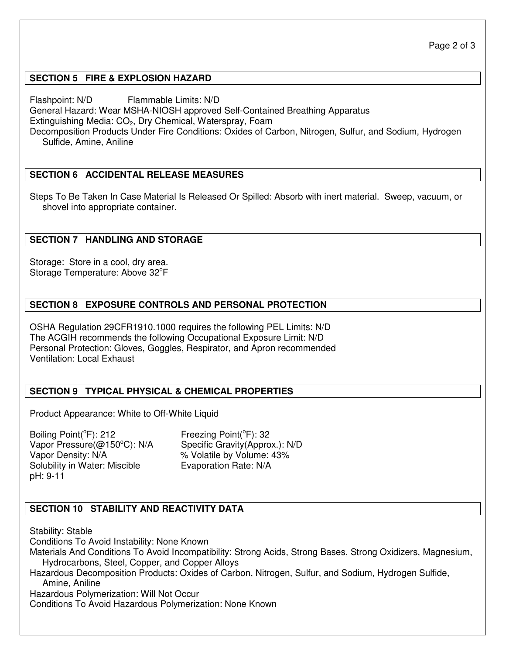#### **SECTION 5 FIRE & EXPLOSION HAZARD**

Flashpoint: N/D Flammable Limits: N/D General Hazard: Wear MSHA-NIOSH approved Self-Contained Breathing Apparatus Extinguishing Media:  $CO<sub>2</sub>$ , Dry Chemical, Waterspray, Foam Decomposition Products Under Fire Conditions: Oxides of Carbon, Nitrogen, Sulfur, and Sodium, Hydrogen Sulfide, Amine, Aniline

#### **SECTION 6 ACCIDENTAL RELEASE MEASURES**

Steps To Be Taken In Case Material Is Released Or Spilled: Absorb with inert material. Sweep, vacuum, or shovel into appropriate container.

#### **SECTION 7 HANDLING AND STORAGE**

Storage: Store in a cool, dry area. Storage Temperature: Above 32°F

#### **SECTION 8 EXPOSURE CONTROLS AND PERSONAL PROTECTION**

OSHA Regulation 29CFR1910.1000 requires the following PEL Limits: N/D The ACGIH recommends the following Occupational Exposure Limit: N/D Personal Protection: Gloves, Goggles, Respirator, and Apron recommended Ventilation: Local Exhaust

#### **SECTION 9 TYPICAL PHYSICAL & CHEMICAL PROPERTIES**

Product Appearance: White to Off-White Liquid

Boiling Point(°F): 212 Freezing Point(°F): 32 Vapor Pressure(@150°C): N/A Specific Gravity(Approx.): N/D<br>Vapor Density: N/A % Volatile by Volume: 43% Solubility in Water: Miscible **Evaporation Rate: N/A** pH: 9-11

% Volatile by Volume: 43%

#### **SECTION 10 STABILITY AND REACTIVITY DATA**

Stability: Stable

Conditions To Avoid Instability: None Known

Materials And Conditions To Avoid Incompatibility: Strong Acids, Strong Bases, Strong Oxidizers, Magnesium, Hydrocarbons, Steel, Copper, and Copper Alloys

Hazardous Decomposition Products: Oxides of Carbon, Nitrogen, Sulfur, and Sodium, Hydrogen Sulfide, Amine, Aniline

Hazardous Polymerization: Will Not Occur

Conditions To Avoid Hazardous Polymerization: None Known